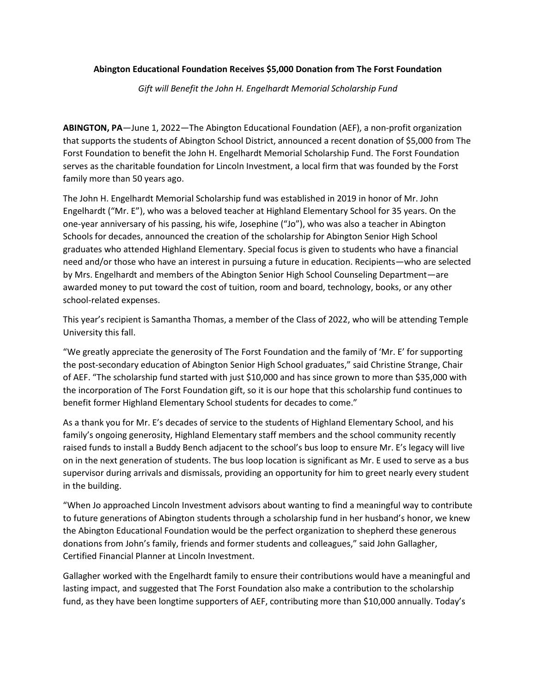## **Abington Educational Foundation Receives \$5,000 Donation from The Forst Foundation**

*Gift will Benefit the John H. Engelhardt Memorial Scholarship Fund*

**ABINGTON, PA**—June 1, 2022—The Abington Educational Foundation (AEF), a non-profit organization that supports the students of Abington School District, announced a recent donation of \$5,000 from The Forst Foundation to benefit the John H. Engelhardt Memorial Scholarship Fund. The Forst Foundation serves as the charitable foundation for Lincoln Investment, a local firm that was founded by the Forst family more than 50 years ago.

The John H. Engelhardt Memorial Scholarship fund was established in 2019 in honor of Mr. John Engelhardt ("Mr. E"), who was a beloved teacher at Highland Elementary School for 35 years. On the one-year anniversary of his passing, his wife, Josephine ("Jo"), who was also a teacher in Abington Schools for decades, announced the creation of the scholarship for Abington Senior High School graduates who attended Highland Elementary. Special focus is given to students who have a financial need and/or those who have an interest in pursuing a future in education. Recipients—who are selected by Mrs. Engelhardt and members of the Abington Senior High School Counseling Department—are awarded money to put toward the cost of tuition, room and board, technology, books, or any other school-related expenses.

This year's recipient is Samantha Thomas, a member of the Class of 2022, who will be attending Temple University this fall.

"We greatly appreciate the generosity of The Forst Foundation and the family of 'Mr. E' for supporting the post-secondary education of Abington Senior High School graduates," said Christine Strange, Chair of AEF. "The scholarship fund started with just \$10,000 and has since grown to more than \$35,000 with the incorporation of The Forst Foundation gift, so it is our hope that this scholarship fund continues to benefit former Highland Elementary School students for decades to come."

As a thank you for Mr. E's decades of service to the students of Highland Elementary School, and his family's ongoing generosity, Highland Elementary staff members and the school community recently raised funds to install a Buddy Bench adjacent to the school's bus loop to ensure Mr. E's legacy will live on in the next generation of students. The bus loop location is significant as Mr. E used to serve as a bus supervisor during arrivals and dismissals, providing an opportunity for him to greet nearly every student in the building.

"When Jo approached Lincoln Investment advisors about wanting to find a meaningful way to contribute to future generations of Abington students through a scholarship fund in her husband's honor, we knew the Abington Educational Foundation would be the perfect organization to shepherd these generous donations from John's family, friends and former students and colleagues," said John Gallagher, Certified Financial Planner at Lincoln Investment.

Gallagher worked with the Engelhardt family to ensure their contributions would have a meaningful and lasting impact, and suggested that The Forst Foundation also make a contribution to the scholarship fund, as they have been longtime supporters of AEF, contributing more than \$10,000 annually. Today's